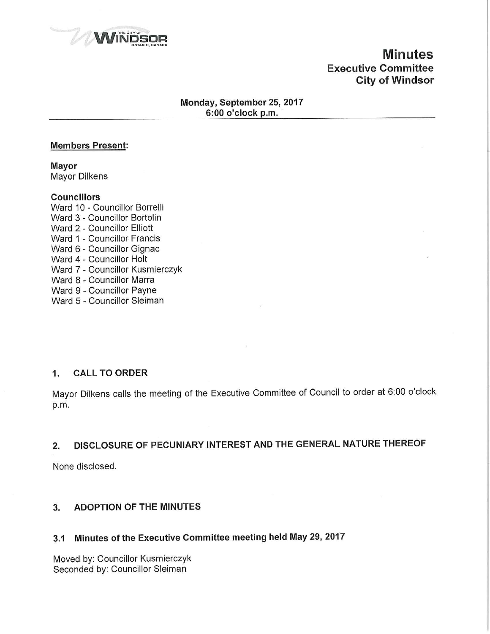

# Minutes Executive Committee City of Windsor

### Monday, September 25, 2017 6:00 o'clock p.m.

### Members Present:

Mayor **Mayor Dilkens** 

### **Councillors**

Ward 10 - Councillor Borrelli Ward 3 - Councillor Bortolin Ward 2-Councillor Elliott Ward 1 - Councillor Francis Ward 6 - Councillor Gignac Ward 4 - Councillor Holt Ward 7 - Councillor Kusmierczyk Ward 8 - Councillor Marra Ward 9 - Councillor Payne Ward 5 - Councillor Sleiman

## 1. CALL TO ORDER

Mayor Dilkens calls the meeting of the Executive Committee of Council to order at 6:00 o'clock p.m.

## 2. DISCLOSURE OF PECUNIARY INTEREST AND THE GENERAL NATURE THEREOF

None disclosed.

## 3. ADOPTION OF THE MINUTES

## 3.1 Minutes of the Executive Committee meeting held May 29, 2017

Moved by: Councillor Kusmierczyk Seconded by: Councillor Sleiman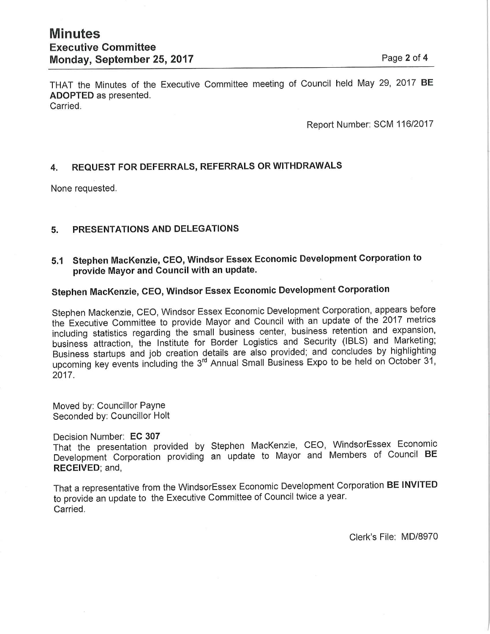THAT the Minutes of the Executive Committee meeting of Council held May 29, 2017 BE ADOPTED as presented. Carried.

Report Number: SCM 116/2017

## 4. REQUEST FOR DEFERRALS, REFERRALS OR WITHDRAWALS

None requested.

### 5. PRESENTATIONS AND DELEGATIONS

5.1 Stephen MacKenzie, CEO, Windsor Essex Economic Development Corporation to provide Mayor and Council with an update.

# Stephen MacKenzie, CEO, Windsor Essex Economic Development Corporation

Stephen Mackenzie, CEO, Windsor Essex Economic Development Corporation, appears before the Executive Committee to provide Mayor and Council with an update of the 2017 metrics including statistics regarding the small business center, business retention and expansion, business attraction, the Institute for Border Logistics and Security (IBLS) and Marketing; Business startups and Job creation details are also provided; and concludes by highlighting upcoming key events including the 3<sup>rd</sup> Annual Small Business Expo to be held on October 31, 2017.

Moved by: Councillor Payne Seconded by: Councillor Holt

#### Decision Number; EC 307

That the presentation provided by Stephen MacKenzie, CEO, WindsorEssex Economic Development Corporation providing an update to Mayor and Members of Council BE RECEIVED; and,

That a representative from the WindsorEssex Economic Development Corporation BE INVITED to provide an update to the Executive Committee of Council twice a year. Carried.

Clerk's File: MD/8970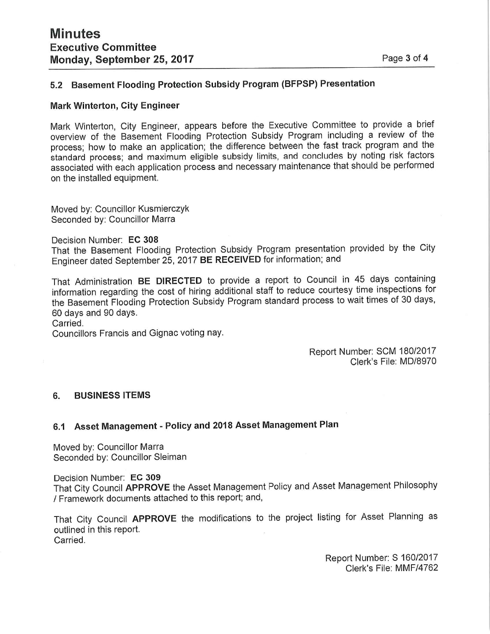## 5.2 Basement Flooding Protection Subsidy Program (BFPSP) Presentation

### **Mark Winterton, City Engineer**

Mark Winterton, City Engineer, appears before the Executive Committee to provide a brief overview of the Basement Flooding Protection Subsidy Program including a review of the process; how to make an application; the difference between the fast track program and the standard process; and maximum eligible subsidy limits, and concludes by noting risk factors associated with each application process and necessary maintenance that should be performed on the installed equipment.

Moved by: Councillor Kusmierczyk Seconded by: Councillor Marra

Decision Number: EC 308

That the Basement Flooding Protection Subsidy Program presentation provided by the City Engineer dated September 25, 2017 BE RECEIVED for information; and

That Administration BE DIRECTED to provide a report to Council in 45 days containing information regarding the cost of hiring additional staff to reduce courtesy time inspections for the Basement Flooding Protection Subsidy Program standard process to wait times of 30 days, 60 days and 90 days.

Carried.

Councillors Francis and Gignac voting nay.

Report Number: SCM 180/2017 Clerk's File: MD/8970

### 6. BUSINESS ITEMS

## 6.1 Asset Management - Policy and 2018 Asset Management Plan

Moved by: Councillor Marra Seconded by: Councillor Sleiman

Decision Number: EC 309

That City Council APPROVE the Asset Management Policy and Asset Management Philosophy / Framework documents attached to this report; and,

That City Council APPROVE the modifications to the project listing for Asset Planning as outlined in this report. Carried.

> Report Number; S 160/2017 Clerk's File: MMF/4762